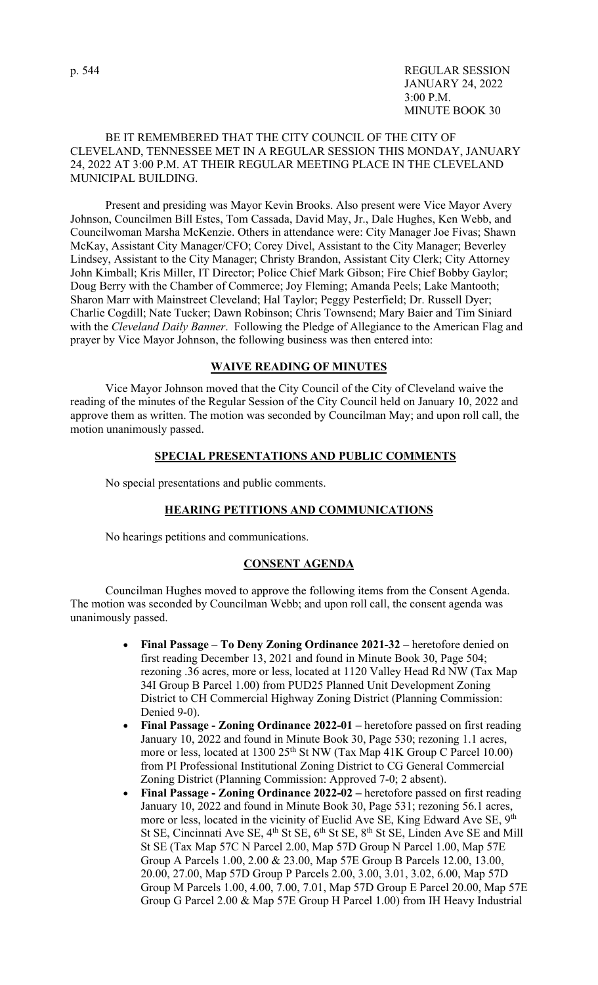# BE IT REMEMBERED THAT THE CITY COUNCIL OF THE CITY OF CLEVELAND, TENNESSEE MET IN A REGULAR SESSION THIS MONDAY, JANUARY 24, 2022 AT 3:00 P.M. AT THEIR REGULAR MEETING PLACE IN THE CLEVELAND MUNICIPAL BUILDING.

 Present and presiding was Mayor Kevin Brooks. Also present were Vice Mayor Avery Johnson, Councilmen Bill Estes, Tom Cassada, David May, Jr., Dale Hughes, Ken Webb, and Councilwoman Marsha McKenzie. Others in attendance were: City Manager Joe Fivas; Shawn McKay, Assistant City Manager/CFO; Corey Divel, Assistant to the City Manager; Beverley Lindsey, Assistant to the City Manager; Christy Brandon, Assistant City Clerk; City Attorney John Kimball; Kris Miller, IT Director; Police Chief Mark Gibson; Fire Chief Bobby Gaylor; Doug Berry with the Chamber of Commerce; Joy Fleming; Amanda Peels; Lake Mantooth; Sharon Marr with Mainstreet Cleveland; Hal Taylor; Peggy Pesterfield; Dr. Russell Dyer; Charlie Cogdill; Nate Tucker; Dawn Robinson; Chris Townsend; Mary Baier and Tim Siniard with the *Cleveland Daily Banner*. Following the Pledge of Allegiance to the American Flag and prayer by Vice Mayor Johnson, the following business was then entered into:

### **WAIVE READING OF MINUTES**

 Vice Mayor Johnson moved that the City Council of the City of Cleveland waive the reading of the minutes of the Regular Session of the City Council held on January 10, 2022 and approve them as written. The motion was seconded by Councilman May; and upon roll call, the motion unanimously passed.

### **SPECIAL PRESENTATIONS AND PUBLIC COMMENTS**

No special presentations and public comments.

### **HEARING PETITIONS AND COMMUNICATIONS**

No hearings petitions and communications.

## **CONSENT AGENDA**

 Councilman Hughes moved to approve the following items from the Consent Agenda. The motion was seconded by Councilman Webb; and upon roll call, the consent agenda was unanimously passed.

- **Final Passage To Deny Zoning Ordinance 2021-32** heretofore denied on first reading December 13, 2021 and found in Minute Book 30, Page 504; rezoning .36 acres, more or less, located at 1120 Valley Head Rd NW (Tax Map 34I Group B Parcel 1.00) from PUD25 Planned Unit Development Zoning District to CH Commercial Highway Zoning District (Planning Commission: Denied 9-0).
- **Final Passage Zoning Ordinance 2022-01** heretofore passed on first reading January 10, 2022 and found in Minute Book 30, Page 530; rezoning 1.1 acres, more or less, located at  $1300\ 25<sup>th</sup>$  St NW (Tax Map 41K Group C Parcel 10.00) from PI Professional Institutional Zoning District to CG General Commercial Zoning District (Planning Commission: Approved 7-0; 2 absent).
- **Final Passage Zoning Ordinance 2022-02** heretofore passed on first reading January 10, 2022 and found in Minute Book 30, Page 531; rezoning 56.1 acres, more or less, located in the vicinity of Euclid Ave SE, King Edward Ave SE, 9<sup>th</sup> St SE, Cincinnati Ave SE,  $4<sup>th</sup>$  St SE,  $6<sup>th</sup>$  St SE,  $8<sup>th</sup>$  St SE, Linden Ave SE and Mill St SE (Tax Map 57C N Parcel 2.00, Map 57D Group N Parcel 1.00, Map 57E Group A Parcels 1.00, 2.00 & 23.00, Map 57E Group B Parcels 12.00, 13.00, 20.00, 27.00, Map 57D Group P Parcels 2.00, 3.00, 3.01, 3.02, 6.00, Map 57D Group M Parcels 1.00, 4.00, 7.00, 7.01, Map 57D Group E Parcel 20.00, Map 57E Group G Parcel 2.00 & Map 57E Group H Parcel 1.00) from IH Heavy Industrial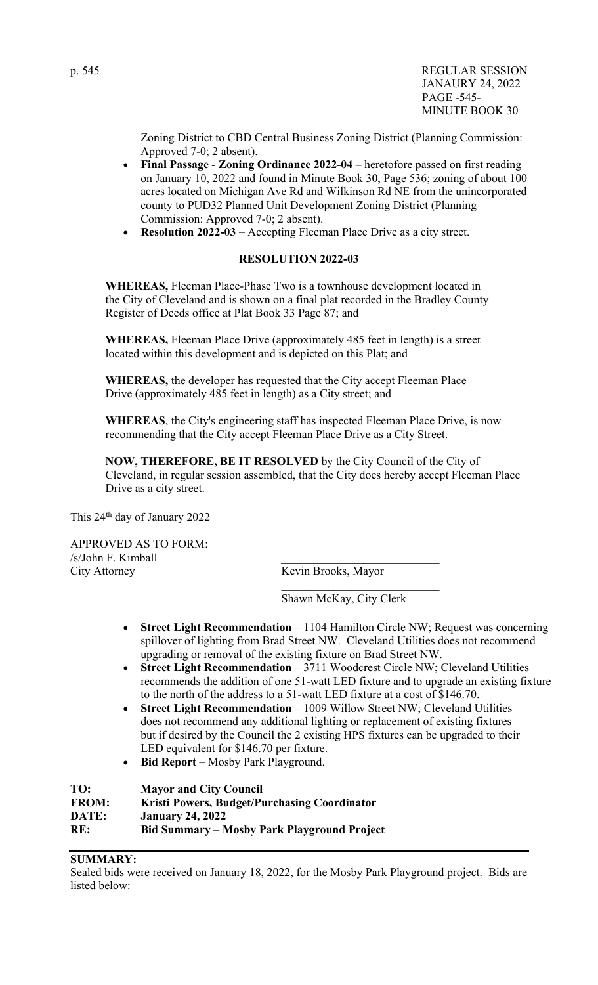Zoning District to CBD Central Business Zoning District (Planning Commission: Approved 7-0; 2 absent).

- **Final Passage Zoning Ordinance 2022-04** heretofore passed on first reading on January 10, 2022 and found in Minute Book 30, Page 536; zoning of about 100 acres located on Michigan Ave Rd and Wilkinson Rd NE from the unincorporated county to PUD32 Planned Unit Development Zoning District (Planning Commission: Approved 7-0; 2 absent).
- **Resolution 2022-03** Accepting Fleeman Place Drive as a city street.

# **RESOLUTION 2022-03**

**WHEREAS,** Fleeman Place-Phase Two is a townhouse development located in the City of Cleveland and is shown on a final plat recorded in the Bradley County Register of Deeds office at Plat Book 33 Page 87; and

**WHEREAS,** Fleeman Place Drive (approximately 485 feet in length) is a street located within this development and is depicted on this Plat; and

**WHEREAS,** the developer has requested that the City accept Fleeman Place Drive (approximately 485 feet in length) as a City street; and

**WHEREAS**, the City's engineering staff has inspected Fleeman Place Drive, is now recommending that the City accept Fleeman Place Drive as a City Street.

**NOW, THEREFORE, BE IT RESOLVED** by the City Council of the City of Cleveland, in regular session assembled, that the City does hereby accept Fleeman Place Drive as a city street.

This 24th day of January 2022

APPROVED AS TO FORM: /s/John F. Kimball City Attorney Kevin Brooks, Mayor

Shawn McKay, City Clerk

- **Street Light Recommendation** 1104 Hamilton Circle NW; Request was concerning spillover of lighting from Brad Street NW. Cleveland Utilities does not recommend upgrading or removal of the existing fixture on Brad Street NW.
- **Street Light Recommendation** 3711 Woodcrest Circle NW; Cleveland Utilities recommends the addition of one 51-watt LED fixture and to upgrade an existing fixture to the north of the address to a 51-watt LED fixture at a cost of \$146.70.
- **Street Light Recommendation** 1009 Willow Street NW; Cleveland Utilities does not recommend any additional lighting or replacement of existing fixtures but if desired by the Council the 2 existing HPS fixtures can be upgraded to their LED equivalent for \$146.70 per fixture.
- **Bid Report** Mosby Park Playground.

**TO: Mayor and City Council FROM: Kristi Powers, Budget/Purchasing Coordinator DATE: January 24, 2022 RE: Bid Summary – Mosby Park Playground Project** 

# **SUMMARY:**

Sealed bids were received on January 18, 2022, for the Mosby Park Playground project. Bids are listed below: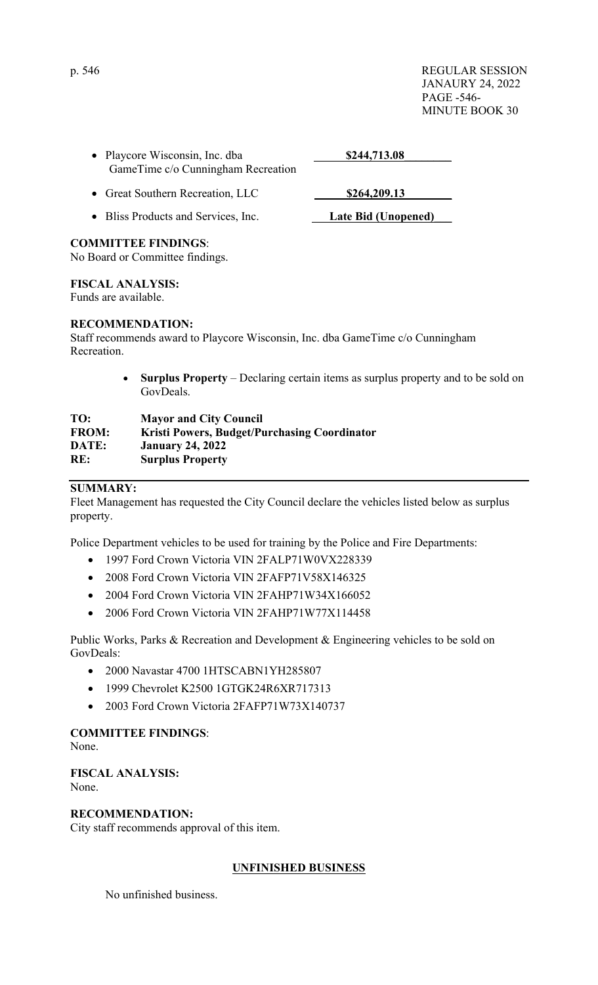p. 546 REGULAR SESSION JANAURY 24, 2022 PAGE -546- MINUTE BOOK 30

| • Playcore Wisconsin, Inc. dba<br>GameTime c/o Cunningham Recreation | \$244,713.08 |
|----------------------------------------------------------------------|--------------|
| • Great Southern Recreation, LLC                                     | \$264,209.13 |
|                                                                      |              |

• Bliss Products and Services, Inc. **Late Bid (Unopened)** 

## **COMMITTEE FINDINGS**:

No Board or Committee findings.

## **FISCAL ANALYSIS:**

Funds are available.

## **RECOMMENDATION:**

Staff recommends award to Playcore Wisconsin, Inc. dba GameTime c/o Cunningham Recreation.

> **Surplus Property** – Declaring certain items as surplus property and to be sold on GovDeals.

# **TO: Mayor and City Council FROM: Kristi Powers, Budget/Purchasing Coordinator DATE: January 24, 2022 RE: Surplus Property**

# **SUMMARY:**

Fleet Management has requested the City Council declare the vehicles listed below as surplus property.

Police Department vehicles to be used for training by the Police and Fire Departments:

- 1997 Ford Crown Victoria VIN 2FALP71W0VX228339
- 2008 Ford Crown Victoria VIN 2FAFP71V58X146325
- 2004 Ford Crown Victoria VIN 2FAHP71W34X166052
- 2006 Ford Crown Victoria VIN 2FAHP71W77X114458

Public Works, Parks & Recreation and Development & Engineering vehicles to be sold on GovDeals:

- 2000 Navastar 4700 1HTSCABN1YH285807
- 1999 Chevrolet K2500 1GTGK24R6XR717313
- 2003 Ford Crown Victoria 2FAFP71W73X140737

# **COMMITTEE FINDINGS**:

None.

**FISCAL ANALYSIS:**  None.

# **RECOMMENDATION:**

City staff recommends approval of this item.

# **UNFINISHED BUSINESS**

No unfinished business.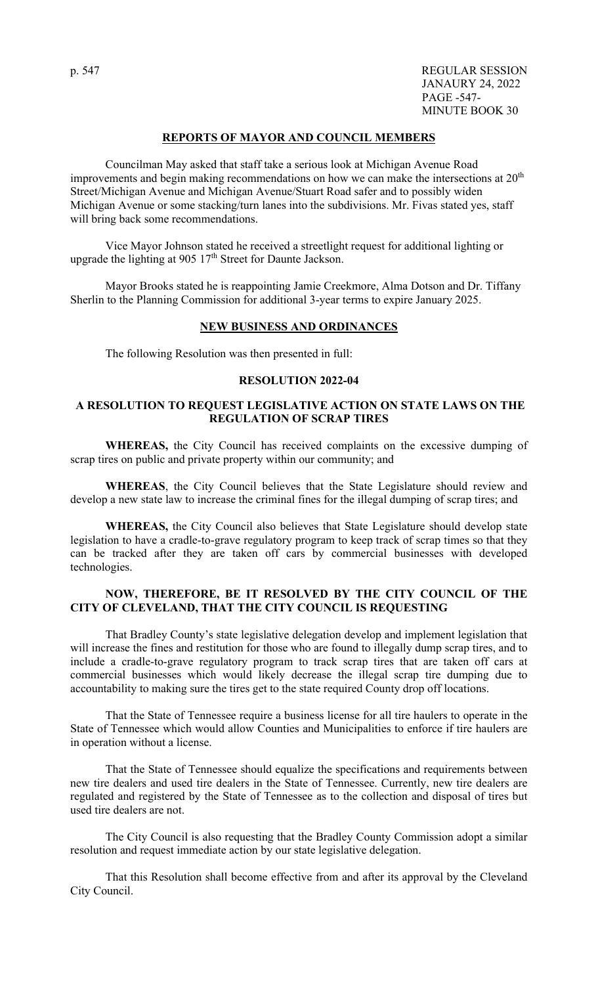p. 547 REGULAR SESSION JANAURY 24, 2022 PAGE -547- MINUTE BOOK 30

### **REPORTS OF MAYOR AND COUNCIL MEMBERS**

 Councilman May asked that staff take a serious look at Michigan Avenue Road improvements and begin making recommendations on how we can make the intersections at  $20<sup>th</sup>$ Street/Michigan Avenue and Michigan Avenue/Stuart Road safer and to possibly widen Michigan Avenue or some stacking/turn lanes into the subdivisions. Mr. Fivas stated yes, staff will bring back some recommendations.

 Vice Mayor Johnson stated he received a streetlight request for additional lighting or upgrade the lighting at  $905 \frac{17}{\text{th}}$  Street for Daunte Jackson.

 Mayor Brooks stated he is reappointing Jamie Creekmore, Alma Dotson and Dr. Tiffany Sherlin to the Planning Commission for additional 3-year terms to expire January 2025.

### **NEW BUSINESS AND ORDINANCES**

The following Resolution was then presented in full:

### **RESOLUTION 2022-04**

## **A RESOLUTION TO REQUEST LEGISLATIVE ACTION ON STATE LAWS ON THE REGULATION OF SCRAP TIRES**

 **WHEREAS,** the City Council has received complaints on the excessive dumping of scrap tires on public and private property within our community; and

**WHEREAS**, the City Council believes that the State Legislature should review and develop a new state law to increase the criminal fines for the illegal dumping of scrap tires; and

 **WHEREAS,** the City Council also believes that State Legislature should develop state legislation to have a cradle-to-grave regulatory program to keep track of scrap times so that they can be tracked after they are taken off cars by commercial businesses with developed technologies.

### **NOW, THEREFORE, BE IT RESOLVED BY THE CITY COUNCIL OF THE CITY OF CLEVELAND, THAT THE CITY COUNCIL IS REQUESTING**

That Bradley County's state legislative delegation develop and implement legislation that will increase the fines and restitution for those who are found to illegally dump scrap tires, and to include a cradle-to-grave regulatory program to track scrap tires that are taken off cars at commercial businesses which would likely decrease the illegal scrap tire dumping due to accountability to making sure the tires get to the state required County drop off locations.

That the State of Tennessee require a business license for all tire haulers to operate in the State of Tennessee which would allow Counties and Municipalities to enforce if tire haulers are in operation without a license.

That the State of Tennessee should equalize the specifications and requirements between new tire dealers and used tire dealers in the State of Tennessee. Currently, new tire dealers are regulated and registered by the State of Tennessee as to the collection and disposal of tires but used tire dealers are not.

The City Council is also requesting that the Bradley County Commission adopt a similar resolution and request immediate action by our state legislative delegation.

That this Resolution shall become effective from and after its approval by the Cleveland City Council.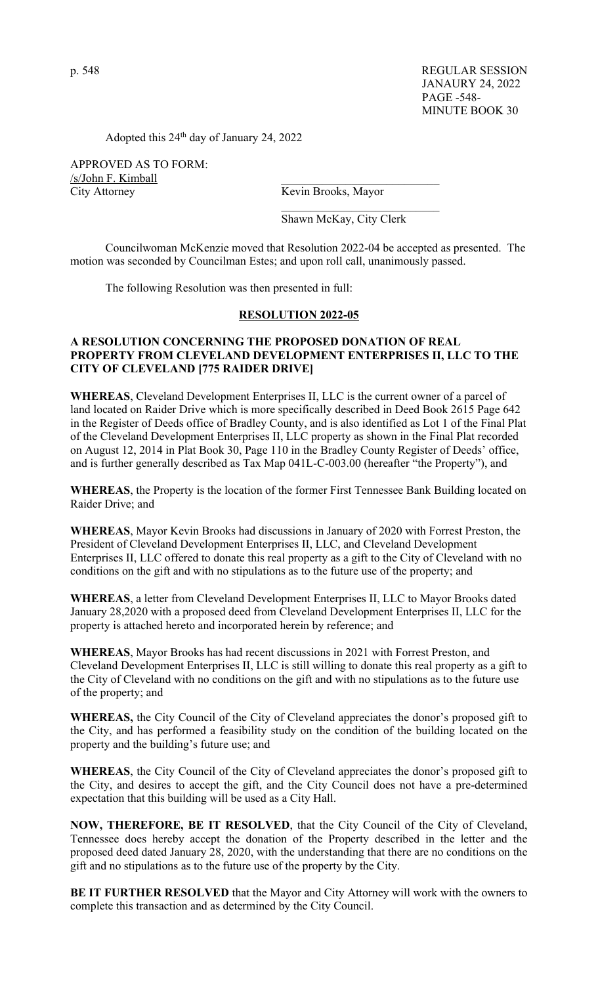p. 548 REGULAR SESSION JANAURY 24, 2022 PAGE -548- MINUTE BOOK 30

Adopted this 24th day of January 24, 2022

APPROVED AS TO FORM: /s/John F. Kimball City Attorney Kevin Brooks, Mayor

Shawn McKay, City Clerk

 Councilwoman McKenzie moved that Resolution 2022-04 be accepted as presented. The motion was seconded by Councilman Estes; and upon roll call, unanimously passed.

The following Resolution was then presented in full:

### **RESOLUTION 2022-05**

# **A RESOLUTION CONCERNING THE PROPOSED DONATION OF REAL PROPERTY FROM CLEVELAND DEVELOPMENT ENTERPRISES II, LLC TO THE CITY OF CLEVELAND [775 RAIDER DRIVE]**

**WHEREAS**, Cleveland Development Enterprises II, LLC is the current owner of a parcel of land located on Raider Drive which is more specifically described in Deed Book 2615 Page 642 in the Register of Deeds office of Bradley County, and is also identified as Lot 1 of the Final Plat of the Cleveland Development Enterprises II, LLC property as shown in the Final Plat recorded on August 12, 2014 in Plat Book 30, Page 110 in the Bradley County Register of Deeds' office, and is further generally described as Tax Map 041L-C-003.00 (hereafter "the Property"), and

**WHEREAS**, the Property is the location of the former First Tennessee Bank Building located on Raider Drive; and

**WHEREAS**, Mayor Kevin Brooks had discussions in January of 2020 with Forrest Preston, the President of Cleveland Development Enterprises II, LLC, and Cleveland Development Enterprises II, LLC offered to donate this real property as a gift to the City of Cleveland with no conditions on the gift and with no stipulations as to the future use of the property; and

**WHEREAS**, a letter from Cleveland Development Enterprises II, LLC to Mayor Brooks dated January 28,2020 with a proposed deed from Cleveland Development Enterprises II, LLC for the property is attached hereto and incorporated herein by reference; and

**WHEREAS**, Mayor Brooks has had recent discussions in 2021 with Forrest Preston, and Cleveland Development Enterprises II, LLC is still willing to donate this real property as a gift to the City of Cleveland with no conditions on the gift and with no stipulations as to the future use of the property; and

**WHEREAS,** the City Council of the City of Cleveland appreciates the donor's proposed gift to the City, and has performed a feasibility study on the condition of the building located on the property and the building's future use; and

**WHEREAS**, the City Council of the City of Cleveland appreciates the donor's proposed gift to the City, and desires to accept the gift, and the City Council does not have a pre-determined expectation that this building will be used as a City Hall.

**NOW, THEREFORE, BE IT RESOLVED**, that the City Council of the City of Cleveland, Tennessee does hereby accept the donation of the Property described in the letter and the proposed deed dated January 28, 2020, with the understanding that there are no conditions on the gift and no stipulations as to the future use of the property by the City.

**BE IT FURTHER RESOLVED** that the Mayor and City Attorney will work with the owners to complete this transaction and as determined by the City Council.